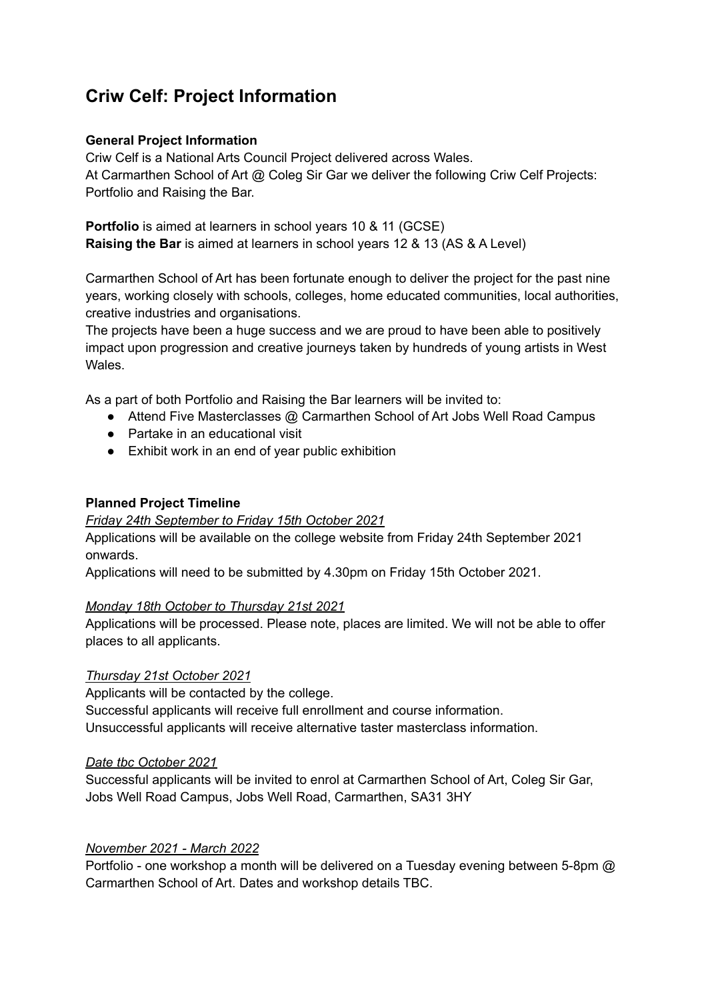# **Criw Celf: Project Information**

## **General Project Information**

Criw Celf is a National Arts Council Project delivered across Wales. At Carmarthen School of Art @ Coleg Sir Gar we deliver the following Criw Celf Projects: Portfolio and Raising the Bar.

**Portfolio** is aimed at learners in school years 10 & 11 (GCSE) **Raising the Bar** is aimed at learners in school years 12 & 13 (AS & A Level)

Carmarthen School of Art has been fortunate enough to deliver the project for the past nine years, working closely with schools, colleges, home educated communities, local authorities, creative industries and organisations.

The projects have been a huge success and we are proud to have been able to positively impact upon progression and creative journeys taken by hundreds of young artists in West Wales.

As a part of both Portfolio and Raising the Bar learners will be invited to:

- Attend Five Masterclasses @ Carmarthen School of Art Jobs Well Road Campus
- Partake in an educational visit
- Exhibit work in an end of year public exhibition

#### **Planned Project Timeline**

#### *Friday 24th September to Friday 15th October 2021*

Applications will be available on the college website from Friday 24th September 2021 onwards.

Applications will need to be submitted by 4.30pm on Friday 15th October 2021.

#### *Monday 18th October to Thursday 21st 2021*

Applications will be processed. Please note, places are limited. We will not be able to offer places to all applicants.

#### *Thursday 21st October 2021*

Applicants will be contacted by the college. Successful applicants will receive full enrollment and course information. Unsuccessful applicants will receive alternative taster masterclass information.

#### *Date tbc October 2021*

Successful applicants will be invited to enrol at Carmarthen School of Art, Coleg Sir Gar, Jobs Well Road Campus, Jobs Well Road, Carmarthen, SA31 3HY

#### *November 2021 - March 2022*

Portfolio - one workshop a month will be delivered on a Tuesday evening between 5-8pm @ Carmarthen School of Art. Dates and workshop details TBC.